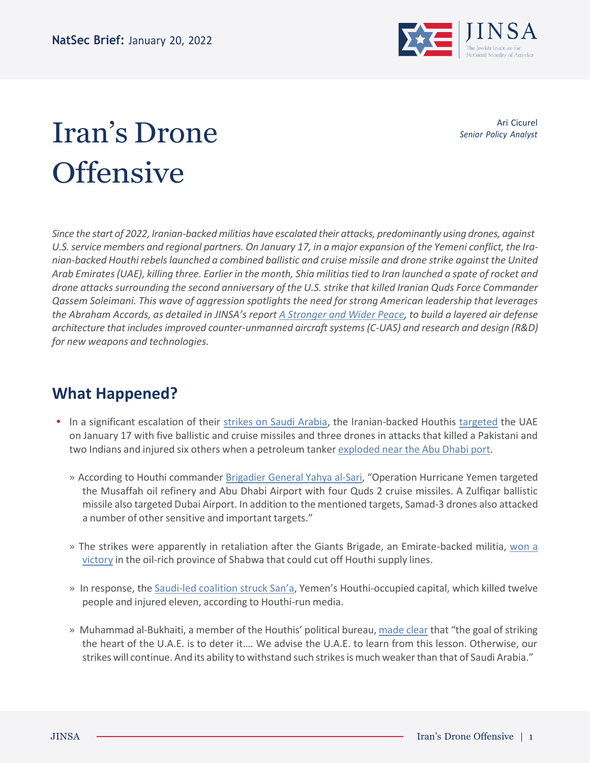

## Iran's Drone **Offensive**

Ari Cicurel *Senior Policy Analyst*

*Since the start of 2022, Iranian-backedmilitias have escalated their attacks, predominantly using drones, against* U.S. service members and regional partners. On January 17, in a major expansion of the Yemeni conflict, the Ira*nian-backed Houthi rebelslaunched a combined ballistic and cruise missile and drone strike against the United* Arab Emirates (UAE), killing three. Earlier in the month, Shia militias tied to Iran launched a spate of rocket and *drone attacks surrounding the second anniversary of the U.S. strike that killed Iranian Quds Force Commander Qassem Soleimani. This wave of aggression spotlights the need for strong American leadership that leverages* the Abraham Accords, as detailed in JINSA's report A [Stronger](https://jinsa.org/wp-content/uploads/2022/01/JINSA_Report_AbrahamAccords_v3-web.pdf) and Wider Peace, to build a layered air defense *architecture that includesimproved counter-unmanned aircraftsystems(C-UAS) and research and design (R&D) for new weapons and technologies.*

## **What Happened?**

- **•** In a significant escalation of their [strikes on Saudi Arabia,](https://abcnews.go.com/International/wireStory/yemeni-rebel-attack-southern-saudi-arabia-kills-people-81935149) the Iranian-backed Houthis [targeted](https://www.wsj.com/articles/yemens-houthi-rebels-claim-suspected-drone-strikes-on-u-a-e-capital-11642416716) the UAE on January 17 with five ballistic and cruise missiles and three drones in attacks that killed a Pakistani and two Indians and injured six others when a petroleum tanker [exploded](https://www.washingtonpost.com/world/2022/01/17/uae-abu-dhabi-drone-oil-tanker-blast/) near the Abu Dhabi port.
	- » According to Houthi commander [Brigadier General Yahya al-Sari](https://english.iswnews.com/22445/yemeni-armed-forces-reveals-detail-of-operation-hurricane-yemen/), "Operation Hurricane Yemen targeted the Musaffah oil refinery and Abu Dhabi Airport with four Quds 2 cruise missiles. A Zulfiqar ballistic missile also targeted Dubai Airport. In addition to the mentioned targets, Samad-3 drones also attacked a number of other sensitive and important targets."
	- » The strikes were apparently in retaliation after the Giants Brigade, an Emirate-backed militia, [won a](https://www.reuters.com/world/middle-east/yemeni-forces-say-they-have-retaken-energy-producing-province-houthis-2022-01-10/) [victory](https://www.reuters.com/world/middle-east/yemeni-forces-say-they-have-retaken-energy-producing-province-houthis-2022-01-10/) in the oil-rich province of Shabwa that could cut off Houthi supply lines.
	- » In response, the [Saudi-led](https://www.cnn.com/2022/01/17/middleeast/uae-abu-dhabi-explosion-drone-houthi-intl/index.html) coalition struck San'a, Yemen's Houthi-occupied capital, which killed twelve people and injured eleven, according to Houthi-run media.
	- » Muhammad al-Bukhaiti, a member of the Houthis' political bureau, [made](https://www.nytimes.com/2022/01/17/world/middleeast/uae-attack-yemen-houthi.html) clear that "the goal of striking the heart of the U.A.E. is to deter it…. We advise the U.A.E. to learn from this lesson. Otherwise, our strikes will continue. And its ability to withstand such strikes is much weaker than that of Saudi Arabia."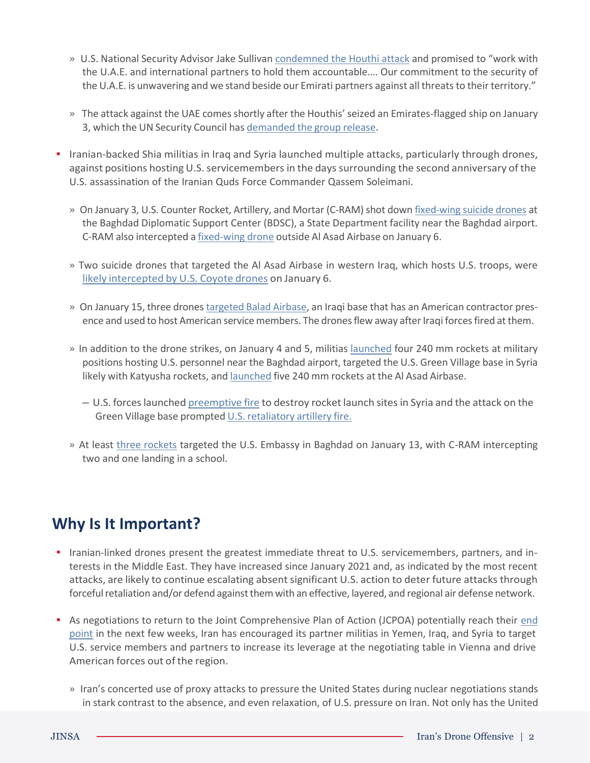- » U.S. National Security Advisor Jake Sullivan [condemned](https://www.whitehouse.gov/briefing-room/statements-releases/2022/01/17/statement-by-national-security-advisor-jake-sullivan-on-houthi-attack-against-uae/) the Houthi attack and promised to "work with the U.A.E. and international partners to hold them accountable…. Our commitment to the security of the U.A.E. is unwavering and we stand beside our Emirati partners against all threats to their territory."
- » The attack against the UAE comes shortly after the Houthis' seized an Emirates-flagged ship on January 3, which the UN Security Council has [demanded](https://abcnews.go.com/US/wireStory/council-demands-yemens-houthis-release-uae-ship-crew-82272721) the group release.
- **•** Iranian-backed Shia militias in Iraq and Syria launched multiple attacks, particularly through drones, against positions hosting U.S. servicemembers in the days surrounding the second anniversary of the U.S. assassination of the Iranian Quds Force Commander Qassem Soleimani.
	- » On January 3, U.S. Counter Rocket, Artillery, and Mortar (C-RAM) shot down [fixed-wing](https://taskandpurpose.com/news/drone-shot-down-baghdad-soleimani-revenge/) suicide drones at the Baghdad Diplomatic Support Center (BDSC), a State Department facility near the Baghdad airport. C-RAM also intercepted a [fixed-wing](https://www.stripes.com/theaters/middle_east/2021-07-06/cram-shoot-down-drone-baghdad-embassy-2065216.html) drone outside Al Asad Airbase on January 6.
	- » Two suicide drones that targeted the Al Asad Airbase in western Iraq, which hosts U.S. troops, were likely [intercepted](https://www.thedrive.com/the-war-zone/43799/this-footage-of-jet-powered-coyote-drones-obliterating-other-drones-is-incredible) by U.S. Coyote drones on January 6.
	- » On January 15, three drones [targeted](https://www.rudaw.net/english/middleeast/iraq/15012022) Balad Airbase, an Iraqi base that has an American contractor presence and used to host American service members. The drones flew away after Iraqi forces fired at them.
	- » In addition to the drone strikes, on January 4 and 5, militias [launched](https://www.militarytimes.com/flashpoints/2022/01/05/katyusha-rocket-hits-military-base-at-baghdad-airport/) four 240 mm rockets at military positions hosting U.S. personnel near the Baghdad airport, targeted the U.S. Green Village base in Syria likely with Katyusha rockets, and [launched](https://www.reuters.com/world/middle-east/five-rockets-land-near-iraqs-ain-al-asad-air-base-coalition-official-2022-01-05/) five 240 mm rockets at the Al Asad Airbase.
		- U.S. forceslaunched [preemptive](https://www.usnews.com/news/politics/articles/2022-01-04/us-military-coalition-in-syria-takes-out-rocket-launch-sites) fire to destroy rocket launch sitesin Syria and the attack on the Green Village base prompted U.S. [retaliatory](https://www.voanews.com/a/us-coalition-responds-to-new-round-of-attacks-in-syria-iraq/6384297.html) artillery fire.
	- » At least [three rockets](https://abcnews.go.com/International/rocket-hits-green-zone-us-embassy-iraq-assessing/story?id=82247726) targeted the U.S. Embassy in Baghdad on January 13, with C-RAM intercepting two and one landing in a school.

## **Why Is It Important?**

- **•** Iranian-linked drones present the greatest immediate threat to U.S. servicemembers, partners, and interests in the Middle East. They have increased since January 2021 and, as indicated by the most recent attacks, are likely to continue escalating absent significant U.S. action to deter future attacks through forceful retaliation and/or defend against them with an effective, layered, and regional air defense network.
- **•** As negotiations to return to the Joint Comprehensive Plan of Action (JCPOA) potentially reach their [end](https://www.axios.com/biden-iran-deal-attack-trump-withdrawal-7ae24e83-8e80-460f-8ea5-e5f81c171322.html) [point](https://www.axios.com/biden-iran-deal-attack-trump-withdrawal-7ae24e83-8e80-460f-8ea5-e5f81c171322.html) in the next few weeks, Iran has encouraged its partner militias in Yemen, Iraq, and Syria to target U.S. service members and partners to increase its leverage at the negotiating table in Vienna and drive American forces out of the region.
	- » Iran's concerted use of proxy attacks to pressure the United States during nuclear negotiations stands in stark contrast to the absence, and even relaxation, of U.S. pressure on Iran. Not only has the United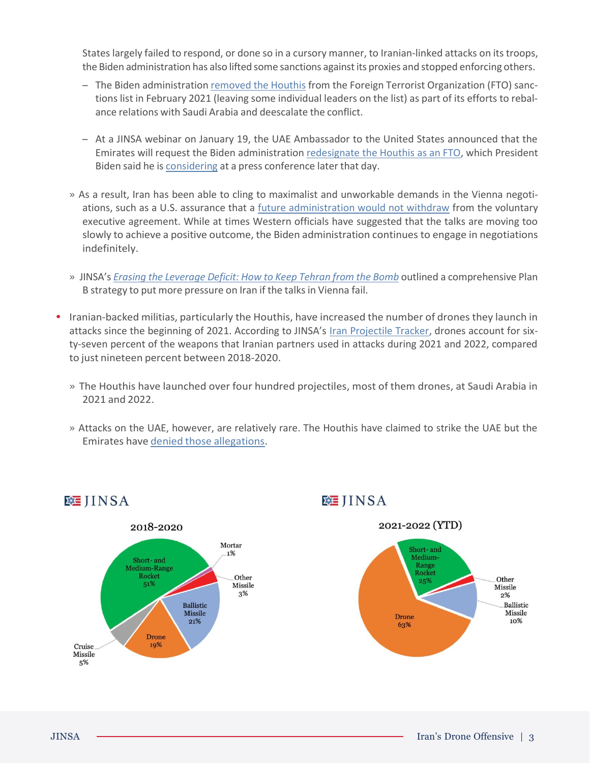States largely failed to respond, or done so in a cursory manner, to Iranian-linked attacks on its troops, the Biden administration has also lifted some sanctions againstits proxies and stopped enforcing others.

- The Biden administration [removed](https://www.state.gov/revocation-of-the-terrorist-designations-of-ansarallah/) the Houthis from the Foreign Terrorist Organization (FTO) sanctions list in February 2021 (leaving some individual leaders on the list) as part of its efforts to rebalance relations with Saudi Arabia and deescalate the conflict.
- At a JINSA webinar on January 19, the UAE Ambassador to the United States announced that the Emirates will request the Biden administration [redesignate](https://jinsa.org/watch-jinsa-abraham-accords-report-release/) the Houthis as an FTO, which President Biden said he is [considering](https://www.reuters.com/world/middle-east/us-yemen-envoy-lenderking-visit-gulf-london-state-department-2022-01-19/) at a press conference later that day.
- » As a result, Iran has been able to cling to maximalist and unworkable demands in the Vienna negotiations, such as a U.S. assurance that a [future administration would not withdraw](https://www.wsj.com/articles/iran-demands-legal-pledge-that-u-s-wont-quit-nuclear-deal-again-11642429074) from the voluntary executive agreement. While at times Western officials have suggested that the talks are moving too slowly to achieve a positive outcome, the Biden administration continues to engage in negotiations indefinitely.
- » JINSA's *Erasing the [Leverage](https://jinsa.org/wp-content/uploads/2021/11/Iran-Report-10-21.v2.pdf) Deficit: How to Keep Tehran from the Bomb* outlined a comprehensive Plan B strategy to put more pressure on Iran if the talks in Vienna fail.
- **•** Iranian-backed militias, particularly the Houthis, have increased the number of drones they launch in attacks since the beginning of 2021. According to JINSA's [Iran Projectile Tracker,](https://jinsa.org/iran-projectile-tracker/) drones account for sixty-seven percent of the weapons that Iranian partners used in attacks during 2021 and 2022, compared to just nineteen percent between 2018-2020.
	- » The Houthis have launched over four hundred projectiles, most of them drones, at Saudi Arabia in 2021 and 2022.
	- » Attacks on the UAE, however, are relatively rare. The Houthis have claimed to strike the UAE but the Emirates have denied those [allegations.](https://www.nytimes.com/2017/12/03/world/middleeast/yemen-houthi-missile-abu-dhabi.html)



**MEJINSA** 

**WEIINSA** 

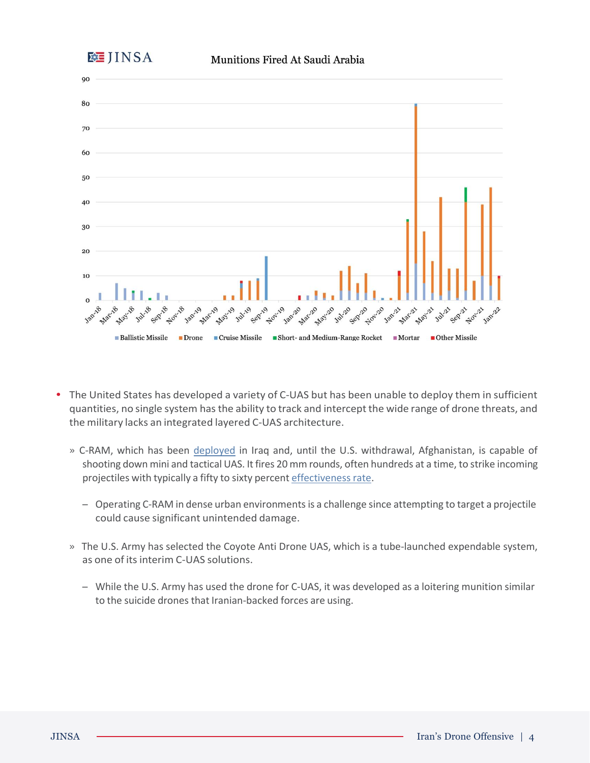



- **•** The United States has developed a variety of C-UAS but has been unable to deploy them in sufficient quantities, no single system hasthe ability to track and intercept the wide range of drone threats, and the military lacks an integrated layered C-UAS architecture.
	- » C-RAM, which has been [deployed](https://www.jpost.com/middle-east/confirmed-the-us-has-an-air-defense-systems-in-baghdad-now-will-it-help-633976) in Iraq and, until the U.S. withdrawal, Afghanistan, is capable of shooting down mini and tactical UAS. It fires 20 mm rounds, often hundreds at a time, to strike incoming projectiles with typically a fifty to sixty percent [effectivenessrate.](https://asiatimes.com/2020/03/centurion-c-ram-the-solution-that-isnt/)
		- Operating C-RAM in dense urban environmentsis a challenge since attempting to target a projectile could cause significant unintended damage.
	- » The U.S. Army has selected the Coyote Anti Drone UAS, which is a tube-launched expendable system, as one of itsinterim C-UAS solutions.
		- While the U.S. Army has used the drone for C-UAS, it was developed as a loitering munition similar to the suicide drones that Iranian-backed forces are using.